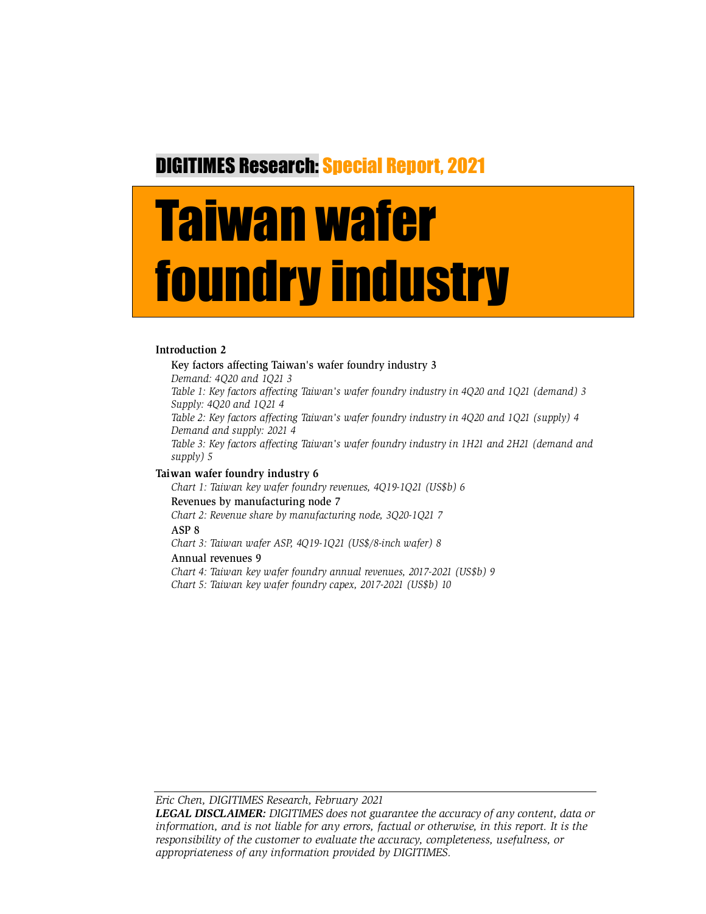# DIGITIMES Research: Special Report, 2021

# Taiwan wafer foundry industry

#### **Introduction 2**

Key factors affecting Taiwan's wafer foundry industry 3 *Demand: 4Q20 and 1Q21 3 Table 1: Key factors affecting Taiwan's wafer foundry industry in 4Q20 and 1Q21 (demand) 3 Supply: 4Q20 and 1Q21 4 Table 2: Key factors affecting Taiwan's wafer foundry industry in 4Q20 and 1Q21 (supply) 4 Demand and supply: 2021 4 Table 3: Key factors affecting Taiwan's wafer foundry industry in 1H21 and 2H21 (demand and supply) 5*

#### **Taiwan wafer foundry industry 6**

*Chart 1: Taiwan key wafer foundry revenues, 4Q19-1Q21 (US\$b) 6* Revenues by manufacturing node 7 *Chart 2: Revenue share by manufacturing node, 3Q20-1Q21 7* ASP 8 *Chart 3: Taiwan wafer ASP, 4Q19-1Q21 (US\$/8-inch wafer) 8* Annual revenues 9 *Chart 4: Taiwan key wafer foundry annual revenues, 2017-2021 (US\$b) 9 Chart 5: Taiwan key wafer foundry capex, 2017-2021 (US\$b) 10*

*Eric Chen, DIGITIMES Research, February 2021* 

*LEGAL DISCLAIMER: DIGITIMES does not guarantee the accuracy of any content, data or information, and is not liable for any errors, factual or otherwise, in this report. It is the responsibility of the customer to evaluate the accuracy, completeness, usefulness, or appropriateness of any information provided by DIGITIMES.*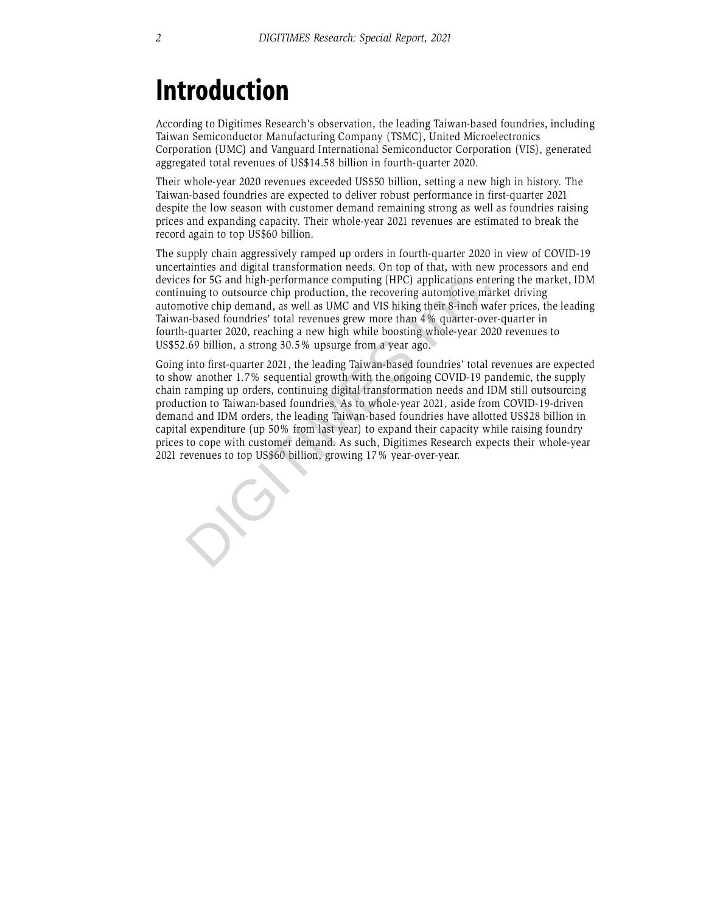# **Introduction**

According to Digitimes Research's observation, the leading Taiwan-based foundries, including Taiwan Semiconductor Manufacturing Company (TSMC), United Microelectronics Corporation (UMC) and Vanguard International Semiconductor Corporation (VIS), generated aggregated total revenues of US\$14.58 billion in fourth-quarter 2020.

Their whole-year 2020 revenues exceeded US\$50 billion, setting a new high in history. The Taiwan-based foundries are expected to deliver robust performance in first-quarter 2021 despite the low season with customer demand remaining strong as well as foundries raising prices and expanding capacity. Their whole-year 2021 revenues are estimated to break the record again to top US\$60 billion.

The supply chain aggressively ramped up orders in fourth-quarter 2020 in view of COVID-19 uncertainties and digital transformation needs. On top of that, with new processors and end devices for 5G and high-performance computing (HPC) applications entering the market, IDM continuing to outsource chip production, the recovering automotive market driving automotive chip demand, as well as UMC and VIS hiking their 8-inch wafer prices, the leading Taiwan-based foundries' total revenues grew more than 4% quarter-over-quarter in fourth-quarter 2020, reaching a new high while boosting whole-year 2020 revenues to US\$52.69 billion, a strong 30.5% upsurge from a year ago.

Going into first-quarter 2021, the leading Taiwan-based foundries' total revenues are expected to show another 1.7% sequential growth with the ongoing COVID-19 pandemic, the supply chain ramping up orders, continuing digital transformation needs and IDM still outsourcing production to Taiwan-based foundries. As to whole-year 2021, aside from COVID-19-driven demand and IDM orders, the leading Taiwan-based foundries have allotted US\$28 billion in capital expenditure (up 50% from last year) to expand their capacity while raising foundry prices to cope with customer demand. As such, Digitimes Research expects their whole-year 2021 revenues to top US\$60 billion, growing 17% year-over-year. devices for 5G and high-performance computing (HPC) applications ent<br>continuing to outsource chip production, the recovering automotive chia<br>automotive chip demand, as well as UMC and VIS hiking their 8-inch was<br>Taiwan-bas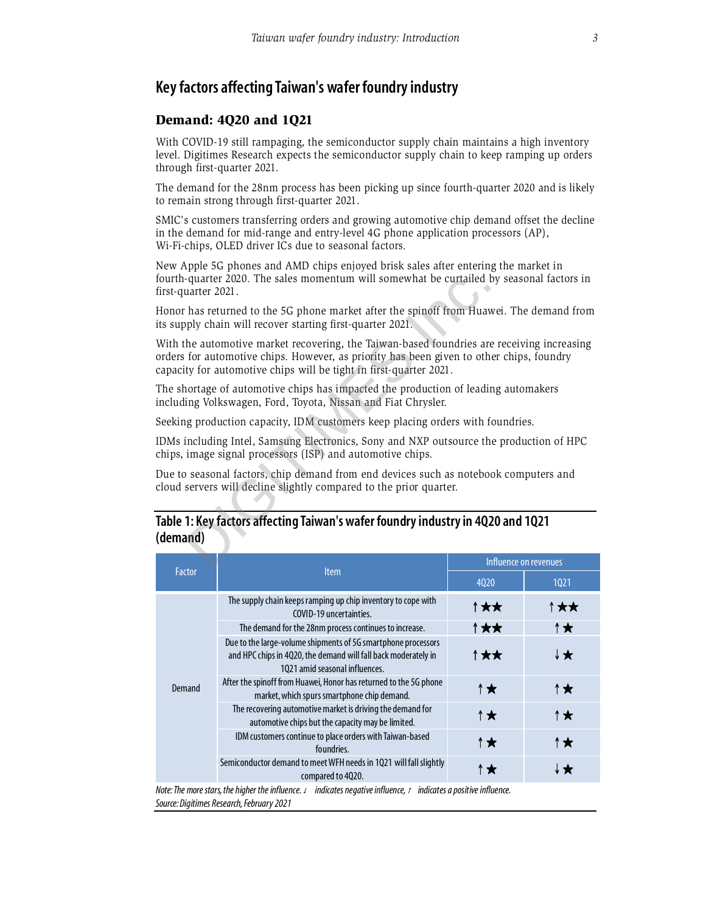## **Key factors affecting Taiwan's wafer foundry industry**

#### Demand: 4Q20 and 1Q21

With COVID-19 still rampaging, the semiconductor supply chain maintains a high inventory level. Digitimes Research expects the semiconductor supply chain to keep ramping up orders through first-quarter 2021.

The demand for the 28nm process has been picking up since fourth-quarter 2020 and is likely to remain strong through first-quarter 2021.

SMIC's customers transferring orders and growing automotive chip demand offset the decline in the demand for mid-range and entry-level 4G phone application processors (AP), Wi-Fi-chips, OLED driver ICs due to seasonal factors.

New Apple 5G phones and AMD chips enjoyed brisk sales after entering the market in fourth-quarter 2020. The sales momentum will somewhat be curtailed by seasonal factors in first-quarter 2021.

Honor has returned to the 5G phone market after the spinoff from Huawei. The demand from its supply chain will recover starting first-quarter 2021.

With the automotive market recovering, the Taiwan-based foundries are receiving increasing orders for automotive chips. However, as priority has been given to other chips, foundry capacity for automotive chips will be tight in first-quarter 2021. -quarter 2020. The sales momentum will somewhat be curtailed luarter 2021.<br>
has returned to the 5G phone market after the spinoff from Huav<br>
ply chain will recover starting first-quarter 2021.<br>
the automotive market recove

The shortage of automotive chips has impacted the production of leading automakers including Volkswagen, Ford, Toyota, Nissan and Fiat Chrysler.

Seeking production capacity, IDM customers keep placing orders with foundries.

IDMs including Intel, Samsung Electronics, Sony and NXP outsource the production of HPC chips, image signal processors (ISP) and automotive chips.

Due to seasonal factors, chip demand from end devices such as notebook computers and cloud servers will decline slightly compared to the prior quarter.

#### **Table 1: Key factors affecting Taiwan's wafer foundry industry in 4Q20 and 1Q21 (demand)**

| <b>Factor</b>                                                                                                                                                       | <b>Item</b>                                                                                                                                                       | Influence on revenues |      |  |  |
|---------------------------------------------------------------------------------------------------------------------------------------------------------------------|-------------------------------------------------------------------------------------------------------------------------------------------------------------------|-----------------------|------|--|--|
|                                                                                                                                                                     |                                                                                                                                                                   | 4020                  | 1021 |  |  |
| Demand                                                                                                                                                              | The supply chain keeps ramping up chip inventory to cope with<br>COVID-19 uncertainties.                                                                          | ↑★★                   | ↑★★  |  |  |
|                                                                                                                                                                     | The demand for the 28nm process continues to increase.                                                                                                            | ↑★★                   | ↑★   |  |  |
|                                                                                                                                                                     | Due to the large-volume shipments of 5G smartphone processors<br>and HPC chips in 4Q20, the demand will fall back moderately in<br>1021 amid seasonal influences. | ↑★★                   | ↓★   |  |  |
|                                                                                                                                                                     | After the spinoff from Huawei, Honor has returned to the 5G phone<br>market, which spurs smartphone chip demand.                                                  | ↑★                    | ↑★   |  |  |
|                                                                                                                                                                     | The recovering automotive market is driving the demand for<br>automotive chips but the capacity may be limited.                                                   | ↑★                    | ↑★   |  |  |
|                                                                                                                                                                     | IDM customers continue to place orders with Taiwan-based<br>foundries.                                                                                            | ↑★                    | ↑★   |  |  |
|                                                                                                                                                                     | Semiconductor demand to meet WFH needs in 1021 will fall slightly<br>compared to 4Q20.                                                                            | ↑★                    | ↓★   |  |  |
| Note: The more stars, the higher the influence. J<br>indicates negative influence, $t$ indicates a positive influence.<br>Source: Digitimes Research, February 2021 |                                                                                                                                                                   |                       |      |  |  |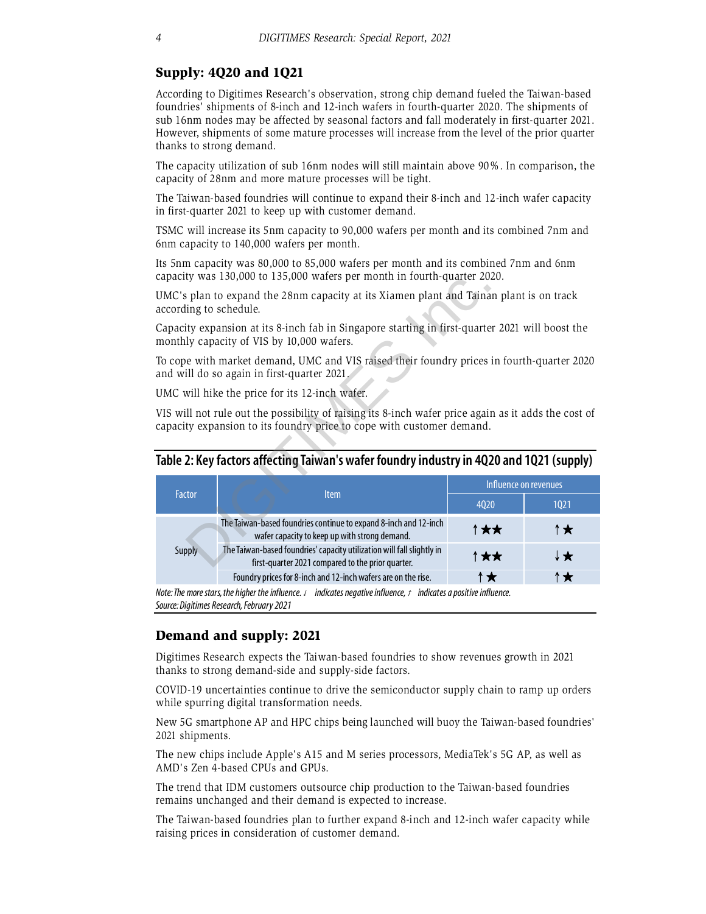#### Supply: 4Q20 and 1Q21

According to Digitimes Research's observation, strong chip demand fueled the Taiwan-based foundries' shipments of 8-inch and 12-inch wafers in fourth-quarter 2020. The shipments of sub 16nm nodes may be affected by seasonal factors and fall moderately in first-quarter 2021. However, shipments of some mature processes will increase from the level of the prior quarter thanks to strong demand.

The capacity utilization of sub 16nm nodes will still maintain above 90%. In comparison, the capacity of 28nm and more mature processes will be tight.

The Taiwan-based foundries will continue to expand their 8-inch and 12-inch wafer capacity in first-quarter 2021 to keep up with customer demand.

TSMC will increase its 5nm capacity to 90,000 wafers per month and its combined 7nm and 6nm capacity to 140,000 wafers per month.

Its 5nm capacity was 80,000 to 85,000 wafers per month and its combined 7nm and 6nm capacity was 130,000 to 135,000 wafers per month in fourth-quarter 2020.

| capacity was 150,000 to 155,000 waters ber month in fourth-quarter 2020.                                                                                                      |                                                                                                                             |                       |      |  |  |  |
|-------------------------------------------------------------------------------------------------------------------------------------------------------------------------------|-----------------------------------------------------------------------------------------------------------------------------|-----------------------|------|--|--|--|
|                                                                                                                                                                               | UMC's plan to expand the 28nm capacity at its Xiamen plant and Tainan plant is on track<br>according to schedule.           |                       |      |  |  |  |
| Capacity expansion at its 8-inch fab in Singapore starting in first-quarter 2021 will boost the<br>monthly capacity of VIS by 10,000 wafers.                                  |                                                                                                                             |                       |      |  |  |  |
| To cope with market demand, UMC and VIS raised their foundry prices in fourth-quarter 2020<br>and will do so again in first-quarter 2021.                                     |                                                                                                                             |                       |      |  |  |  |
|                                                                                                                                                                               | UMC will hike the price for its 12-inch wafer.                                                                              |                       |      |  |  |  |
| VIS will not rule out the possibility of raising its 8-inch wafer price again as it adds the cost of<br>capacity expansion to its foundry price to cope with customer demand. |                                                                                                                             |                       |      |  |  |  |
| Table 2: Key factors affecting Taiwan's wafer foundry industry in 4Q20 and 1Q21 (supply)                                                                                      |                                                                                                                             |                       |      |  |  |  |
| Factor                                                                                                                                                                        | <b>Item</b>                                                                                                                 | Influence on revenues |      |  |  |  |
|                                                                                                                                                                               |                                                                                                                             | 4020                  | 1021 |  |  |  |
| <b>Supply</b>                                                                                                                                                                 | The Taiwan-based foundries continue to expand 8-inch and 12-inch<br>wafer capacity to keep up with strong demand.           | ↑★★                   | ↑★   |  |  |  |
|                                                                                                                                                                               | The Taiwan-based foundries' capacity utilization will fall slightly in<br>first-quarter 2021 compared to the prior quarter. | ↑★★                   | ↓★   |  |  |  |
|                                                                                                                                                                               | Foundry prices for 8-inch and 12-inch wafers are on the rise.                                                               | ↑★                    | ↑★   |  |  |  |
|                                                                                                                                                                               | Note The mass stars the higher the influence in indicates negative influence a indicates a nesitive influence               |                       |      |  |  |  |

#### **Table 2: Key factors affecting Taiwan's wafer foundry industry in 4Q20 and 1Q21 (supply)**

*Note: The more stars, the higher the influence.* ↓ *indicates negative influence,* <sup>↑</sup> *indicates a positive influence. Source: Digitimes Research, February 2021* 

#### Demand and supply: 2021

Digitimes Research expects the Taiwan-based foundries to show revenues growth in 2021 thanks to strong demand-side and supply-side factors.

COVID-19 uncertainties continue to drive the semiconductor supply chain to ramp up orders while spurring digital transformation needs.

New 5G smartphone AP and HPC chips being launched will buoy the Taiwan-based foundries' 2021 shipments.

The new chips include Apple's A15 and M series processors, MediaTek's 5G AP, as well as AMD's Zen 4-based CPUs and GPUs.

The trend that IDM customers outsource chip production to the Taiwan-based foundries remains unchanged and their demand is expected to increase.

The Taiwan-based foundries plan to further expand 8-inch and 12-inch wafer capacity while raising prices in consideration of customer demand.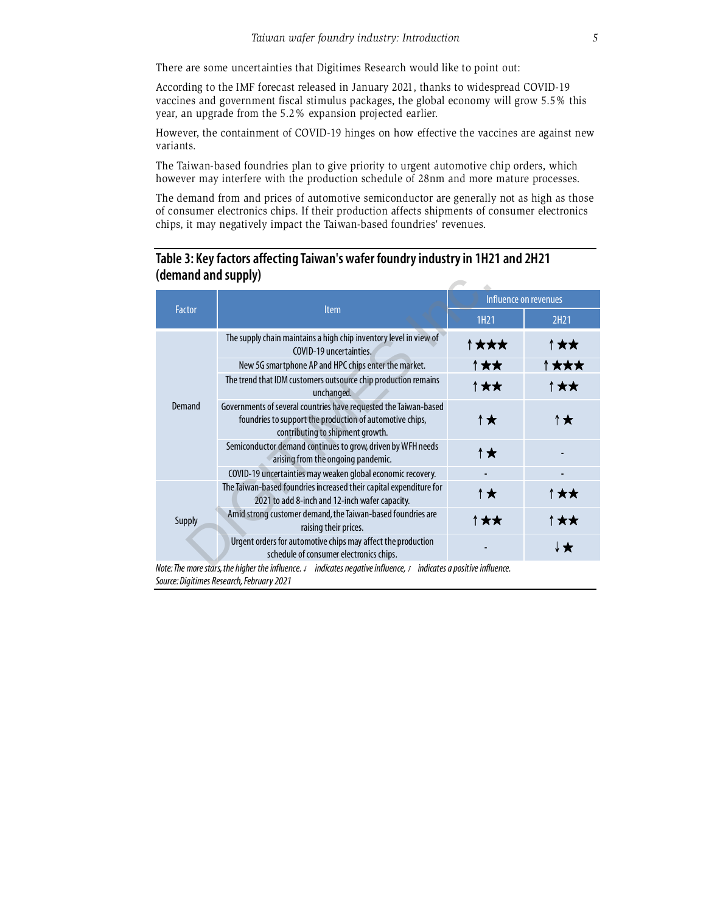There are some uncertainties that Digitimes Research would like to point out:

According to the IMF forecast released in January 2021, thanks to widespread COVID-19 vaccines and government fiscal stimulus packages, the global economy will grow 5.5% this year, an upgrade from the 5.2% expansion projected earlier.

However, the containment of COVID-19 hinges on how effective the vaccines are against new variants.

The Taiwan-based foundries plan to give priority to urgent automotive chip orders, which however may interfere with the production schedule of 28nm and more mature processes.

The demand from and prices of automotive semiconductor are generally not as high as those of consumer electronics chips. If their production affects shipments of consumer electronics chips, it may negatively impact the Taiwan-based foundries' revenues.

### **Table 3: Key factors affecting Taiwan's wafer foundry industry in 1H21 and 2H21 (demand and supply)**

| (denialiu aliu suppiy) |                                                                                                                                                                  |                       |      |  |  |
|------------------------|------------------------------------------------------------------------------------------------------------------------------------------------------------------|-----------------------|------|--|--|
| Factor                 | <b>Item</b>                                                                                                                                                      | Influence on revenues |      |  |  |
|                        |                                                                                                                                                                  | 1H21                  | 2H21 |  |  |
| Demand                 | The supply chain maintains a high chip inventory level in view of<br>COVID-19 uncertainties.                                                                     | ↑★★★                  | ↑★★  |  |  |
|                        | New 5G smartphone AP and HPC chips enter the market.                                                                                                             | ↑★★                   | ↑★★★ |  |  |
|                        | The trend that IDM customers outsource chip production remains<br>unchanged.                                                                                     | ↑★★                   | ↑★★  |  |  |
|                        | Governments of several countries have requested the Taiwan-based<br>foundries to support the production of automotive chips,<br>contributing to shipment growth. | ↑★                    | ↑★   |  |  |
|                        | Semiconductor demand continues to grow, driven by WFH needs<br>arising from the ongoing pandemic.                                                                | ↑★                    |      |  |  |
|                        | COVID-19 uncertainties may weaken global economic recovery.                                                                                                      |                       |      |  |  |
| Supply                 | The Taiwan-based foundries increased their capital expenditure for<br>2021 to add 8-inch and 12-inch wafer capacity.                                             | ↑★                    | ↑★★  |  |  |
|                        | Amid strong customer demand, the Taiwan-based foundries are<br>raising their prices.                                                                             | ↑★★                   | ↑★★  |  |  |
|                        | Urgent orders for automotive chips may affect the production<br>schedule of consumer electronics chips.                                                          |                       | ↓★   |  |  |
|                        | Mater The means that the high on the influence of the displacement of the influence of the displace superintum influence                                         |                       |      |  |  |

*Note: The more stars, the higher the influence.* ↓ *indicates negative influence,* <sup>↑</sup> *indicates a positive influence. Source: Digitimes Research, February 2021*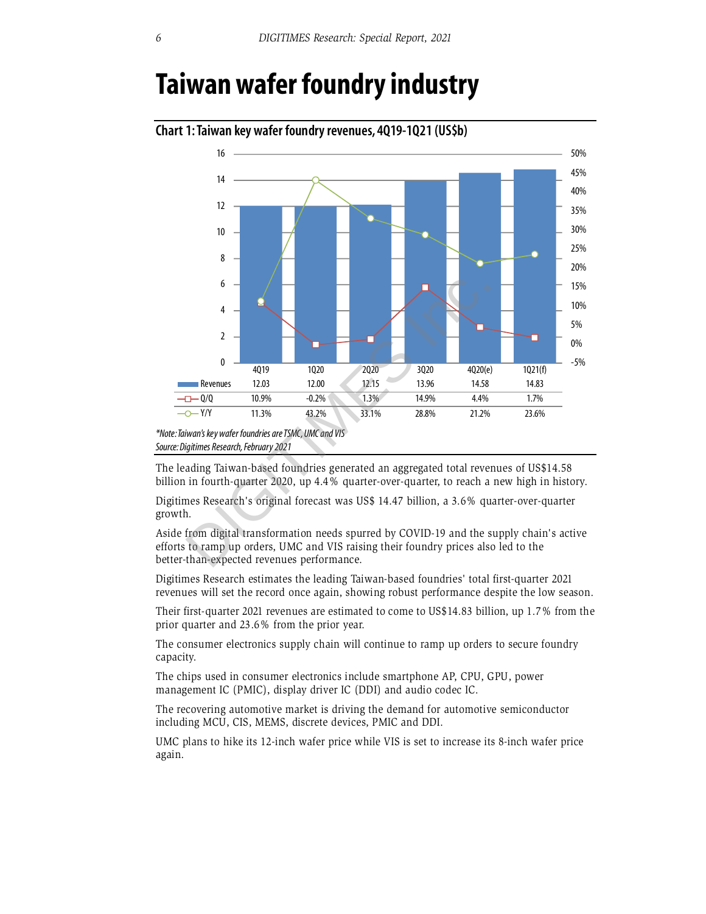# **Taiwan wafer foundry industry**



**Chart 1: Taiwan key wafer foundry revenues, 4Q19-1Q21 (US\$b)** 

The leading Taiwan-based foundries generated an aggregated total revenues of US\$14.58 billion in fourth-quarter 2020, up 4.4% quarter-over-quarter, to reach a new high in history.

Digitimes Research's original forecast was US\$ 14.47 billion, a 3.6% quarter-over-quarter growth.

Aside from digital transformation needs spurred by COVID-19 and the supply chain's active efforts to ramp up orders, UMC and VIS raising their foundry prices also led to the better-than-expected revenues performance.

Digitimes Research estimates the leading Taiwan-based foundries' total first-quarter 2021 revenues will set the record once again, showing robust performance despite the low season.

Their first-quarter 2021 revenues are estimated to come to US\$14.83 billion, up 1.7% from the prior quarter and 23.6% from the prior year.

The consumer electronics supply chain will continue to ramp up orders to secure foundry capacity.

The chips used in consumer electronics include smartphone AP, CPU, GPU, power management IC (PMIC), display driver IC (DDI) and audio codec IC.

The recovering automotive market is driving the demand for automotive semiconductor including MCU, CIS, MEMS, discrete devices, PMIC and DDI.

UMC plans to hike its 12-inch wafer price while VIS is set to increase its 8-inch wafer price again.

*<sup>\*</sup>Note: Taiwan's key wafer foundries are TSMC, UMC and VIS Source: Digitimes Research, February 2021*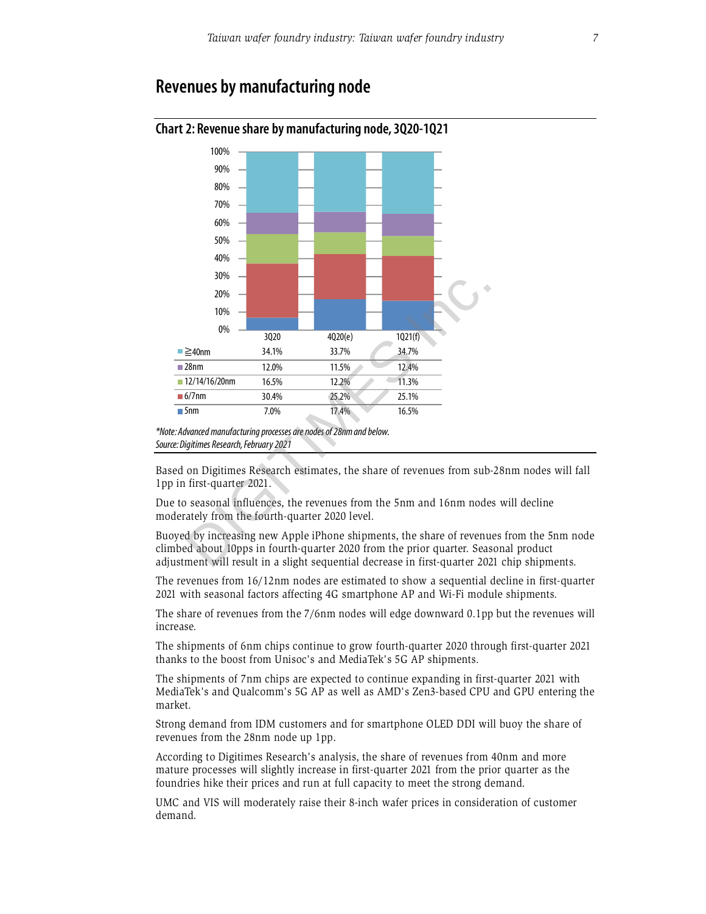# **Revenues by manufacturing node**



#### **Chart 2: Revenue share by manufacturing node, 3Q20-1Q21**

Based on Digitimes Research estimates, the share of revenues from sub-28nm nodes will fall 1pp in first-quarter 2021.

Due to seasonal influences, the revenues from the 5nm and 16nm nodes will decline moderately from the fourth-quarter 2020 level.

Buoyed by increasing new Apple iPhone shipments, the share of revenues from the 5nm node climbed about 10pps in fourth-quarter 2020 from the prior quarter. Seasonal product adjustment will result in a slight sequential decrease in first-quarter 2021 chip shipments.

The revenues from 16/12nm nodes are estimated to show a sequential decline in first-quarter 2021 with seasonal factors affecting 4G smartphone AP and Wi-Fi module shipments.

The share of revenues from the 7/6nm nodes will edge downward 0.1pp but the revenues will increase.

The shipments of 6nm chips continue to grow fourth-quarter 2020 through first-quarter 2021 thanks to the boost from Unisoc's and MediaTek's 5G AP shipments.

The shipments of 7nm chips are expected to continue expanding in first-quarter 2021 with MediaTek's and Qualcomm's 5G AP as well as AMD's Zen3-based CPU and GPU entering the market.

Strong demand from IDM customers and for smartphone OLED DDI will buoy the share of revenues from the 28nm node up 1pp.

According to Digitimes Research's analysis, the share of revenues from 40nm and more mature processes will slightly increase in first-quarter 2021 from the prior quarter as the foundries hike their prices and run at full capacity to meet the strong demand.

UMC and VIS will moderately raise their 8-inch wafer prices in consideration of customer demand.

*<sup>\*</sup>Note: Advanced manufacturing processes are nodes of 28nm and below. Source: Digitimes Research, February 2021*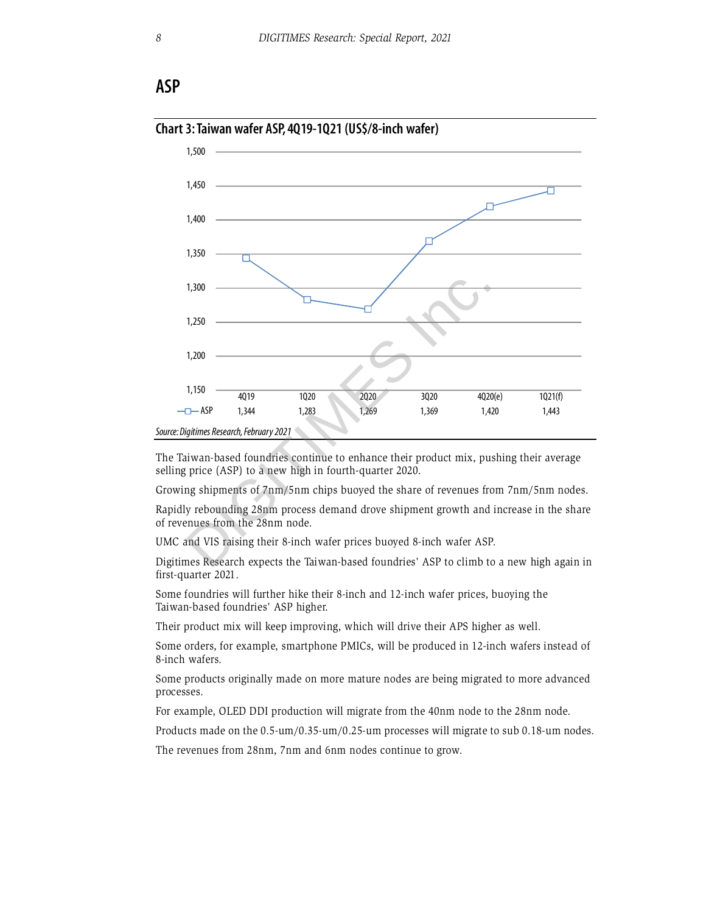## **ASP**



#### **Chart 3: Taiwan wafer ASP, 4Q19-1Q21 (US\$/8-inch wafer)**

The Taiwan-based foundries continue to enhance their product mix, pushing their average selling price (ASP) to a new high in fourth-quarter 2020.

Growing shipments of 7nm/5nm chips buoyed the share of revenues from 7nm/5nm nodes.

Rapidly rebounding 28nm process demand drove shipment growth and increase in the share of revenues from the 28nm node.

UMC and VIS raising their 8-inch wafer prices buoyed 8-inch wafer ASP.

Digitimes Research expects the Taiwan-based foundries' ASP to climb to a new high again in first-quarter 2021.

Some foundries will further hike their 8-inch and 12-inch wafer prices, buoying the Taiwan-based foundries' ASP higher.

Their product mix will keep improving, which will drive their APS higher as well.

Some orders, for example, smartphone PMICs, will be produced in 12-inch wafers instead of 8-inch wafers.

Some products originally made on more mature nodes are being migrated to more advanced processes.

For example, OLED DDI production will migrate from the 40nm node to the 28nm node.

Products made on the 0.5-um/0.35-um/0.25-um processes will migrate to sub 0.18-um nodes.

The revenues from 28nm, 7nm and 6nm nodes continue to grow.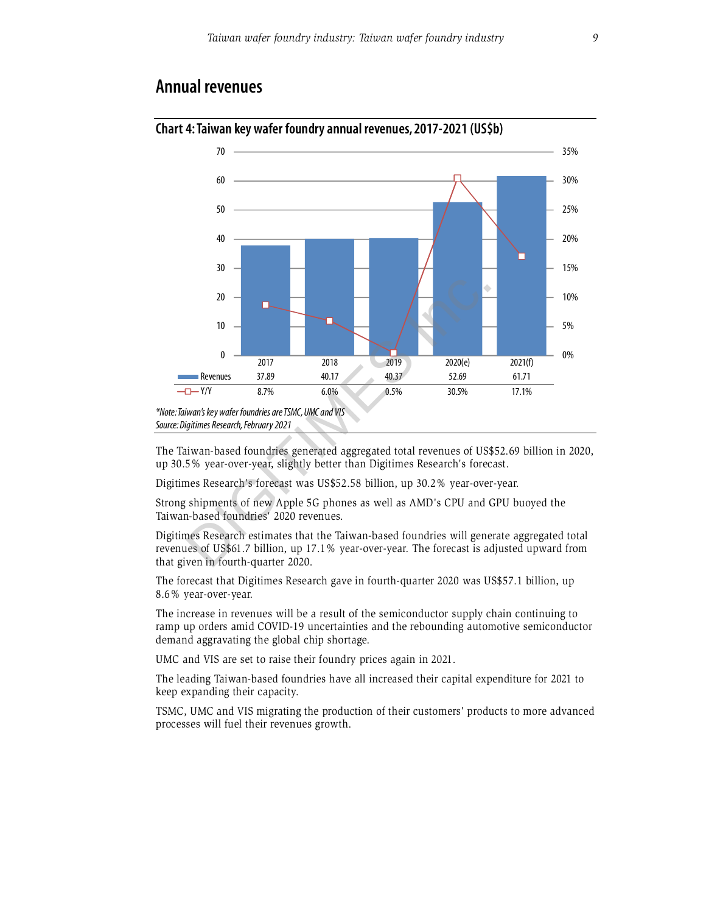# **Annual revenues**



# **Chart 4: Taiwan key wafer foundry annual revenues, 2017-2021 (US\$b)**

The Taiwan-based foundries generated aggregated total revenues of US\$52.69 billion in 2020, up 30.5% year-over-year, slightly better than Digitimes Research's forecast.

Digitimes Research's forecast was US\$52.58 billion, up 30.2% year-over-year.

Strong shipments of new Apple 5G phones as well as AMD's CPU and GPU buoyed the Taiwan-based foundries' 2020 revenues.

Digitimes Research estimates that the Taiwan-based foundries will generate aggregated total revenues of US\$61.7 billion, up 17.1% year-over-year. The forecast is adjusted upward from that given in fourth-quarter 2020.

The forecast that Digitimes Research gave in fourth-quarter 2020 was US\$57.1 billion, up 8.6% year-over-year.

The increase in revenues will be a result of the semiconductor supply chain continuing to ramp up orders amid COVID-19 uncertainties and the rebounding automotive semiconductor demand aggravating the global chip shortage.

UMC and VIS are set to raise their foundry prices again in 2021.

The leading Taiwan-based foundries have all increased their capital expenditure for 2021 to keep expanding their capacity.

TSMC, UMC and VIS migrating the production of their customers' products to more advanced processes will fuel their revenues growth.